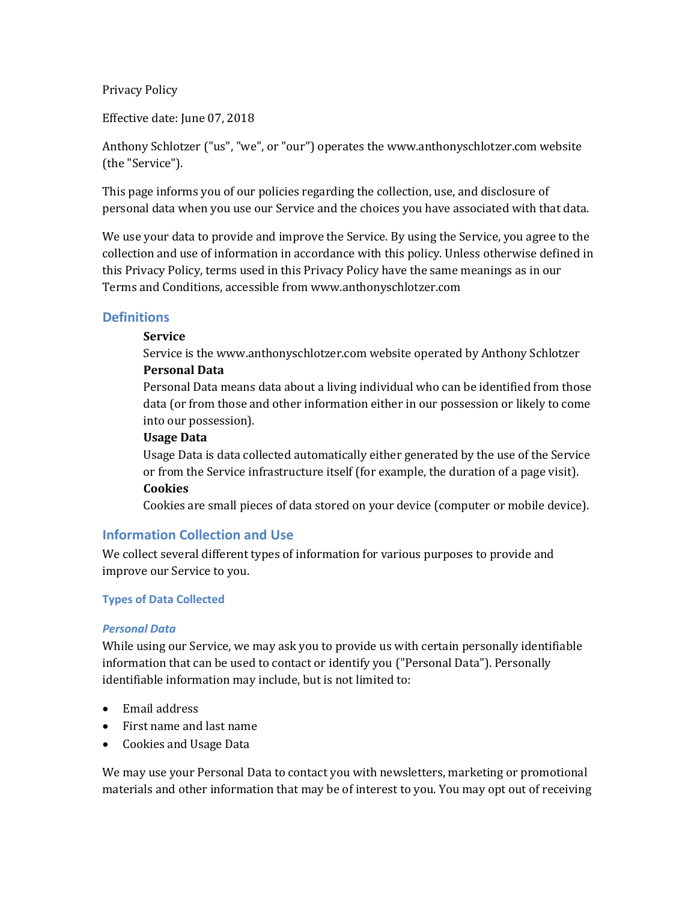Privacy Policy

Effective date: June 07, 2018

Anthony Schlotzer ("us", "we", or "our") operates the www.anthonyschlotzer.com website (the "Service").

This page informs you of our policies regarding the collection, use, and disclosure of personal data when you use our Service and the choices you have associated with that data.

We use your data to provide and improve the Service. By using the Service, you agree to the collection and use of information in accordance with this policy. Unless otherwise defined in this Privacy Policy, terms used in this Privacy Policy have the same meanings as in our Terms and Conditions, accessible from www.anthonyschlotzer.com

# **Definitions**

#### **Service**

Service is the www.anthonyschlotzer.com website operated by Anthony Schlotzer **Personal Data**

Personal Data means data about a living individual who can be identified from those data (or from those and other information either in our possession or likely to come into our possession).

#### **Usage Data**

Usage Data is data collected automatically either generated by the use of the Service or from the Service infrastructure itself (for example, the duration of a page visit). **Cookies**

Cookies are small pieces of data stored on your device (computer or mobile device).

# **Information Collection and Use**

We collect several different types of information for various purposes to provide and improve our Service to you.

### **Types of Data Collected**

#### *Personal Data*

While using our Service, we may ask you to provide us with certain personally identifiable information that can be used to contact or identify you ("Personal Data"). Personally identifiable information may include, but is not limited to:

- Email address
- First name and last name
- Cookies and Usage Data

We may use your Personal Data to contact you with newsletters, marketing or promotional materials and other information that may be of interest to you. You may opt out of receiving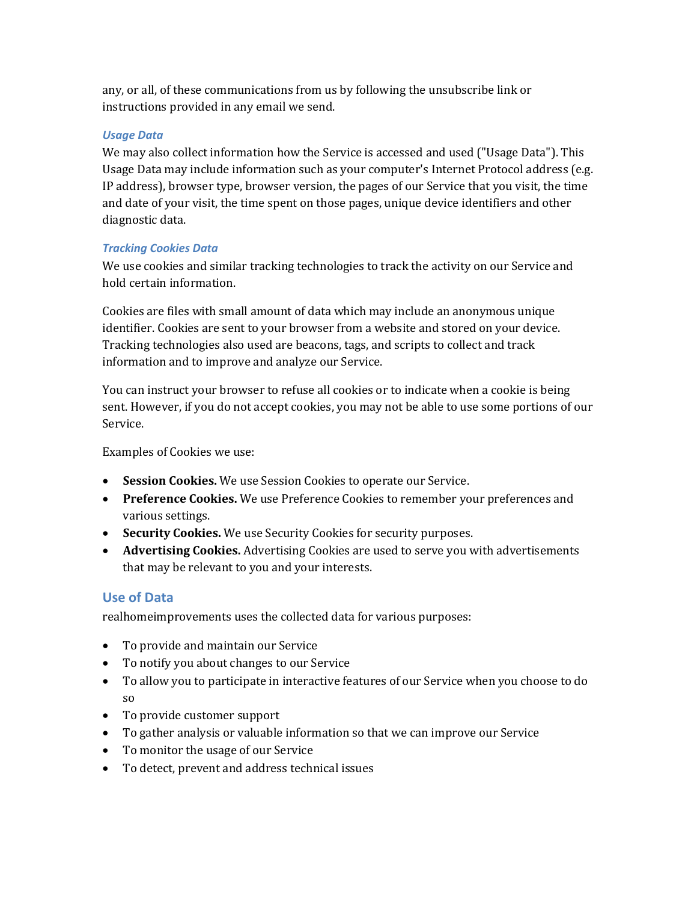any, or all, of these communications from us by following the unsubscribe link or instructions provided in any email we send.

### *Usage Data*

We may also collect information how the Service is accessed and used ("Usage Data"). This Usage Data may include information such as your computer's Internet Protocol address (e.g. IP address), browser type, browser version, the pages of our Service that you visit, the time and date of your visit, the time spent on those pages, unique device identifiers and other diagnostic data.

### *Tracking Cookies Data*

We use cookies and similar tracking technologies to track the activity on our Service and hold certain information.

Cookies are files with small amount of data which may include an anonymous unique identifier. Cookies are sent to your browser from a website and stored on your device. Tracking technologies also used are beacons, tags, and scripts to collect and track information and to improve and analyze our Service.

You can instruct your browser to refuse all cookies or to indicate when a cookie is being sent. However, if you do not accept cookies, you may not be able to use some portions of our Service.

Examples of Cookies we use:

- **Session Cookies.** We use Session Cookies to operate our Service.
- **Preference Cookies.** We use Preference Cookies to remember your preferences and various settings.
- **Security Cookies.** We use Security Cookies for security purposes.
- **Advertising Cookies.** Advertising Cookies are used to serve you with advertisements that may be relevant to you and your interests.

# **Use of Data**

realhomeimprovements uses the collected data for various purposes:

- To provide and maintain our Service
- To notify you about changes to our Service
- To allow you to participate in interactive features of our Service when you choose to do so
- To provide customer support
- To gather analysis or valuable information so that we can improve our Service
- To monitor the usage of our Service
- To detect, prevent and address technical issues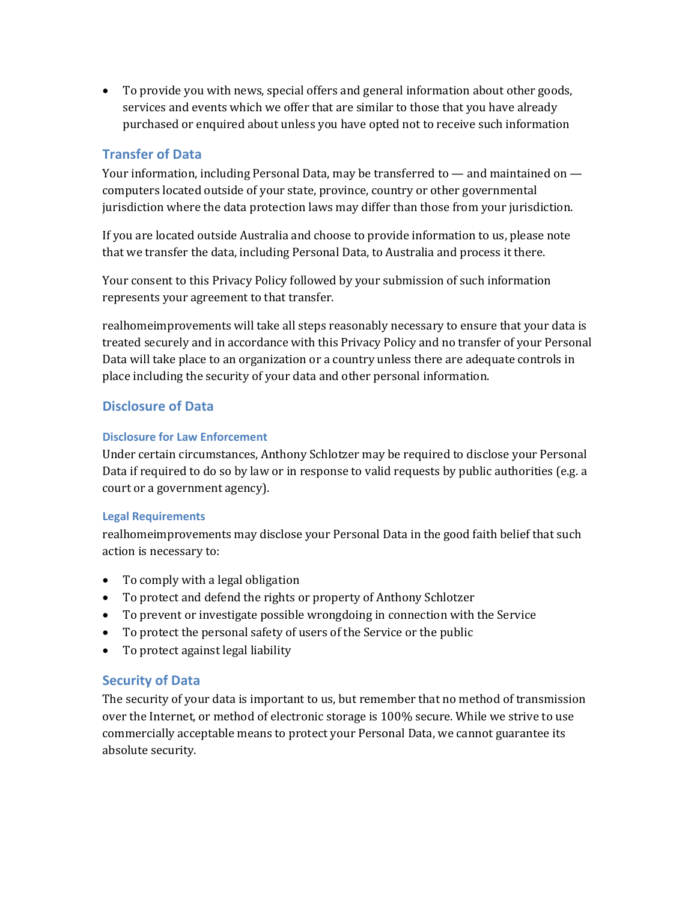To provide you with news, special offers and general information about other goods, services and events which we offer that are similar to those that you have already purchased or enquired about unless you have opted not to receive such information

# **Transfer of Data**

Your information, including Personal Data, may be transferred to — and maintained on computers located outside of your state, province, country or other governmental jurisdiction where the data protection laws may differ than those from your jurisdiction.

If you are located outside Australia and choose to provide information to us, please note that we transfer the data, including Personal Data, to Australia and process it there.

Your consent to this Privacy Policy followed by your submission of such information represents your agreement to that transfer.

realhomeimprovements will take all steps reasonably necessary to ensure that your data is treated securely and in accordance with this Privacy Policy and no transfer of your Personal Data will take place to an organization or a country unless there are adequate controls in place including the security of your data and other personal information.

# **Disclosure of Data**

### **Disclosure for Law Enforcement**

Under certain circumstances, Anthony Schlotzer may be required to disclose your Personal Data if required to do so by law or in response to valid requests by public authorities (e.g. a court or a government agency).

### **Legal Requirements**

realhomeimprovements may disclose your Personal Data in the good faith belief that such action is necessary to:

- To comply with a legal obligation
- To protect and defend the rights or property of Anthony Schlotzer
- To prevent or investigate possible wrongdoing in connection with the Service
- To protect the personal safety of users of the Service or the public
- To protect against legal liability

# **Security of Data**

The security of your data is important to us, but remember that no method of transmission over the Internet, or method of electronic storage is 100% secure. While we strive to use commercially acceptable means to protect your Personal Data, we cannot guarantee its absolute security.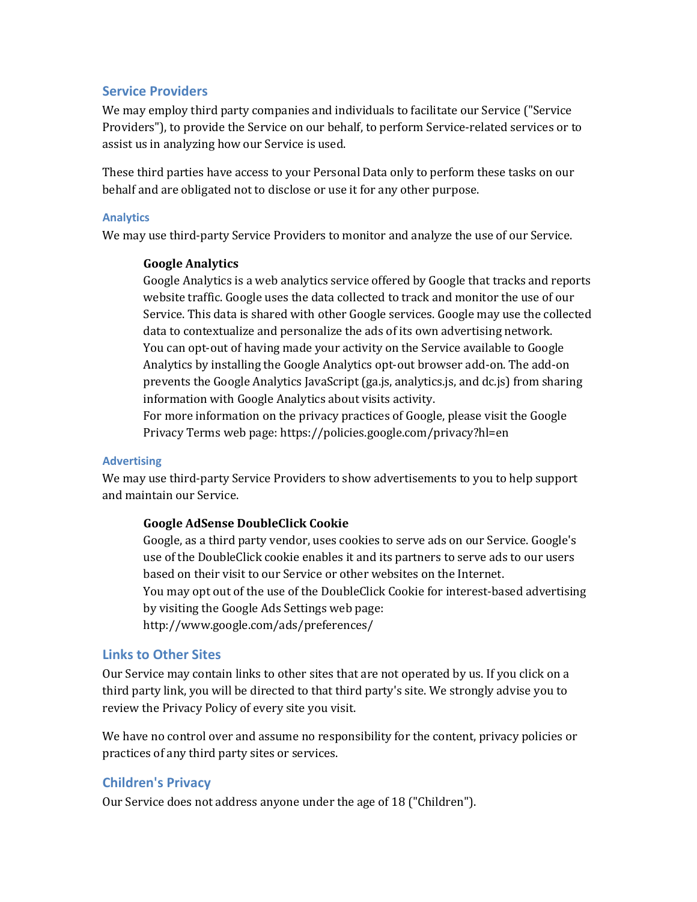### **Service Providers**

We may employ third party companies and individuals to facilitate our Service ("Service Providers"), to provide the Service on our behalf, to perform Service-related services or to assist us in analyzing how our Service is used.

These third parties have access to your Personal Data only to perform these tasks on our behalf and are obligated not to disclose or use it for any other purpose.

#### **Analytics**

We may use third-party Service Providers to monitor and analyze the use of our Service.

### **Google Analytics**

Google Analytics is a web analytics service offered by Google that tracks and reports website traffic. Google uses the data collected to track and monitor the use of our Service. This data is shared with other Google services. Google may use the collected data to contextualize and personalize the ads of its own advertising network. You can opt-out of having made your activity on the Service available to Google Analytics by installing the Google Analytics opt-out browser add-on. The add-on prevents the Google Analytics JavaScript (ga.js, analytics.js, and dc.js) from sharing information with Google Analytics about visits activity.

For more information on the privacy practices of Google, please visit the Google Privacy Terms web page:<https://policies.google.com/privacy?hl=en>

#### **Advertising**

We may use third-party Service Providers to show advertisements to you to help support and maintain our Service.

### **Google AdSense DoubleClick Cookie**

Google, as a third party vendor, uses cookies to serve ads on our Service. Google's use of the DoubleClick cookie enables it and its partners to serve ads to our users based on their visit to our Service or other websites on the Internet.

You may opt out of the use of the DoubleClick Cookie for interest-based advertising by visiting the Google Ads Settings web page:

<http://www.google.com/ads/preferences/>

### **Links to Other Sites**

Our Service may contain links to other sites that are not operated by us. If you click on a third party link, you will be directed to that third party's site. We strongly advise you to review the Privacy Policy of every site you visit.

We have no control over and assume no responsibility for the content, privacy policies or practices of any third party sites or services.

# **Children's Privacy**

Our Service does not address anyone under the age of 18 ("Children").